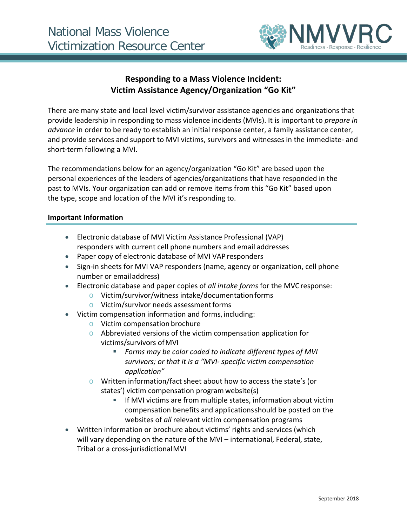

# **Responding to a Mass Violence Incident: Victim Assistance Agency/Organization "Go Kit"**

There are many state and local level victim/survivor assistance agencies and organizations that provide leadership in responding to mass violence incidents (MVIs). It is important to *prepare in advance* in order to be ready to establish an initial response center, a family assistance center, and provide services and support to MVI victims, survivors and witnesses in the immediate- and short-term following a MVI.

The recommendations below for an agency/organization "Go Kit" are based upon the personal experiences of the leaders of agencies/organizations that have responded in the past to MVIs. Your organization can add or remove items from this "Go Kit" based upon the type, scope and location of the MVI it's responding to.

### **Important Information**

- Electronic database of MVI Victim Assistance Professional (VAP) responders with current cell phone numbers and email addresses
- Paper copy of electronic database of MVI VAP responders
- Sign-in sheets for MVI VAP responders (name, agency or organization, cell phone number or emailaddress)
- Electronic database and paper copies of *all intake forms* for the MVC response:
	- o Victim/survivor/witness intake/documentationforms
	- $\circ$  Victim/survivor needs assessment forms
- Victim compensation information and forms, including:
	- o Victim compensation brochure
	- o Abbreviated versions of the victim compensation application for victims/survivors ofMVI
		- *Forms may be color coded to indicate different types of MVI survivors; or that it is a "MVI- specific victim compensation application"*
	- o Written information/fact sheet about how to access the state's (or states') victim compensation program website(s)
		- If MVI victims are from multiple states, information about victim compensation benefits and applicationsshould be posted on the websites of *all* relevant victim compensation programs
- Written information or brochure about victims' rights and services (which will vary depending on the nature of the MVI - international, Federal, state, Tribal or a cross-jurisdictionalMVI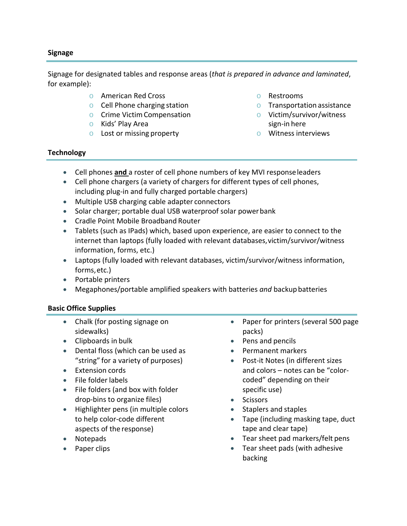### **Signage**

Signage for designated tables and response areas (*that is prepared in advance and laminated*, for example):

- o American Red Cross
- o Cell Phone charging station
- o Crime VictimCompensation
- o Kids' Play Area
- o Lost or missing property
- o Restrooms
- o Transportation assistance
- o Victim/survivor/witness sign-in here
- o Witness interviews

### **Technology**

- Cell phones **and** a roster of cell phone numbers of key MVI responseleaders
- Cell phone chargers (a variety of chargers for different types of cell phones, including plug-in and fully charged portable chargers)
- Multiple USB charging cable adapter connectors
- Solar charger; portable dual USB waterproof solar powerbank
- Cradle Point Mobile Broadband Router
- Tablets (such as IPads) which, based upon experience, are easier to connect to the internet than laptops (fully loaded with relevant databases, victim/survivor/witness information, forms, etc.)
- Laptops (fully loaded with relevant databases, victim/survivor/witness information, forms,etc.)
- Portable printers
- Megaphones/portable amplified speakers with batteries *and* backupbatteries

## **Basic Office Supplies**

- Chalk (for posting signage on sidewalks)
- Clipboards in bulk
- Dental floss (which can be used as "string" for a variety of purposes)
- Extension cords
- File folder labels
- File folders (and box with folder drop-bins to organize files)
- Highlighter pens (in multiple colors to help color-code different aspects of the response)
- Notepads
- Paper clips
- Paper for printers (several 500 page packs)
- Pens and pencils
- Permanent markers
- Post-it Notes (in different sizes and colors – notes can be "colorcoded" depending on their specific use)
- Scissors
- Staplers and staples
- Tape (including masking tape, duct tape and clear tape)
- Tear sheet pad markers/felt pens
- Tear sheet pads (with adhesive backing